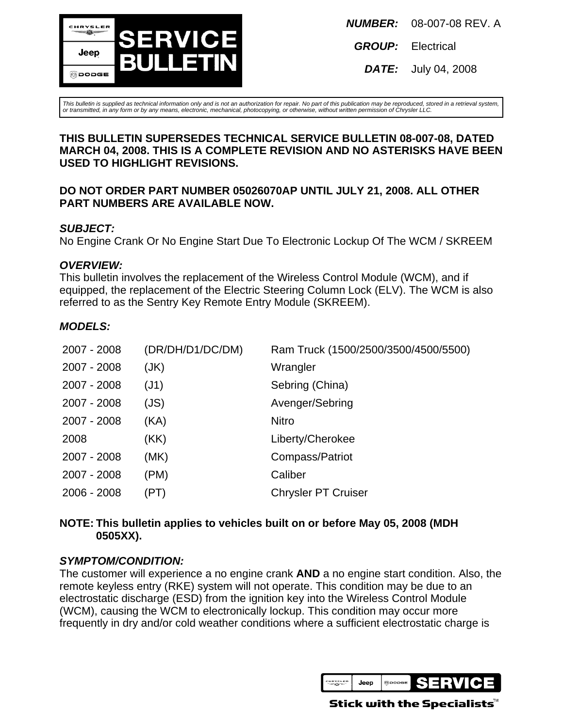

**GROUP:** Electrical

**DATE:** July 04, 2008

This bulletin is supplied as technical information only and is not an authorization for repair. No part of this publication may be reproduced, stored in a retrieval system, or transmitted, in any form or by any means, electronic, mechanical, photocopying, or otherwise, without written permission of Chrysler LLC.

### **THIS BULLETIN SUPERSEDES TECHNICAL SERVICE BULLETIN 08-007-08, DATED MARCH 04, 2008. THIS IS A COMPLETE REVISION AND NO ASTERISKS HAVE BEEN USED TO HIGHLIGHT REVISIONS.**

## **DO NOT ORDER PART NUMBER 05026070AP UNTIL JULY 21, 2008. ALL OTHER PART NUMBERS ARE AVAILABLE NOW.**

## **SUBJECT:**

No Engine Crank Or No Engine Start Due To Electronic Lockup Of The WCM / SKREEM

# **OVERVIEW:**

This bulletin involves the replacement of the Wireless Control Module (WCM), and if equipped, the replacement of the Electric Steering Column Lock (ELV). The WCM is also referred to as the Sentry Key Remote Entry Module (SKREEM).

# **MODELS:**

| 2007 - 2008 | (DR/DH/D1/DC/DM) | Ram Truck (1500/2500/3500/4500/5500) |
|-------------|------------------|--------------------------------------|
| 2007 - 2008 | (JK)             | Wrangler                             |
| 2007 - 2008 | (J1)             | Sebring (China)                      |
| 2007 - 2008 | (JS)             | Avenger/Sebring                      |
| 2007 - 2008 | (KA)             | <b>Nitro</b>                         |
| 2008        | (KK)             | Liberty/Cherokee                     |
| 2007 - 2008 | (MK)             | Compass/Patriot                      |
| 2007 - 2008 | (PM)             | Caliber                              |
| 2006 - 2008 | (PT)             | <b>Chrysler PT Cruiser</b>           |

## **NOTE: This bulletin applies to vehicles built on or before May 05, 2008 (MDH 0505XX).**

# **SYMPTOM/CONDITION:**

The customer will experience a no engine crank **AND** a no engine start condition. Also, the remote keyless entry (RKE) system will not operate. This condition may be due to an electrostatic discharge (ESD) from the ignition key into the Wireless Control Module (WCM), causing the WCM to electronically lockup. This condition may occur more frequently in dry and/or cold weather conditions where a sufficient electrostatic charge is



Stick with the Specialists $^{\!\scriptscriptstyle\mathsf{w}}$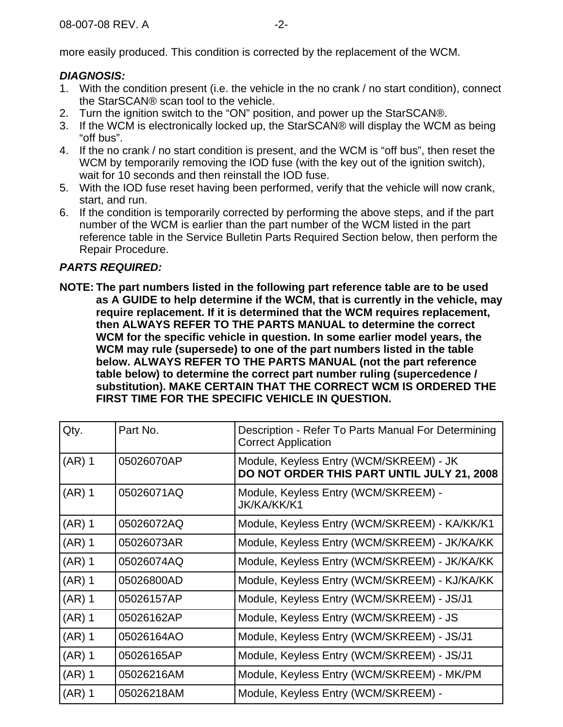more easily produced. This condition is corrected by the replacement of the WCM.

# **DIAGNOSIS:**

- 1. With the condition present (i.e. the vehicle in the no crank / no start condition), connect the StarSCAN® scan tool to the vehicle.
- 2. Turn the ignition switch to the "ON" position, and power up the StarSCAN®.
- 3. If the WCM is electronically locked up, the StarSCAN® will display the WCM as being "off bus".
- 4. If the no crank / no start condition is present, and the WCM is "off bus", then reset the WCM by temporarily removing the IOD fuse (with the key out of the ignition switch), wait for 10 seconds and then reinstall the IOD fuse.
- 5. With the IOD fuse reset having been performed, verify that the vehicle will now crank, start, and run.
- 6. If the condition is temporarily corrected by performing the above steps, and if the part number of the WCM is earlier than the part number of the WCM listed in the part reference table in the Service Bulletin Parts Required Section below, then perform the Repair Procedure.

# **PARTS REQUIRED:**

**NOTE: The part numbers listed in the following part reference table are to be used as A GUIDE to help determine if the WCM, that is currently in the vehicle, may require replacement. If it is determined that the WCM requires replacement, then ALWAYS REFER TO THE PARTS MANUAL to determine the correct WCM for the specific vehicle in question. In some earlier model years, the WCM may rule (supersede) to one of the part numbers listed in the table below. ALWAYS REFER TO THE PARTS MANUAL (not the part reference table below) to determine the correct part number ruling (supercedence / substitution). MAKE CERTAIN THAT THE CORRECT WCM IS ORDERED THE FIRST TIME FOR THE SPECIFIC VEHICLE IN QUESTION.**

| Qty.     | Part No.   | Description - Refer To Parts Manual For Determining<br><b>Correct Application</b>     |
|----------|------------|---------------------------------------------------------------------------------------|
| $(AR)$ 1 | 05026070AP | Module, Keyless Entry (WCM/SKREEM) - JK<br>DO NOT ORDER THIS PART UNTIL JULY 21, 2008 |
| $(AR)$ 1 | 05026071AQ | Module, Keyless Entry (WCM/SKREEM) -<br>JK/KA/KK/K1                                   |
| $(AR)$ 1 | 05026072AQ | Module, Keyless Entry (WCM/SKREEM) - KA/KK/K1                                         |
| $(AR)$ 1 | 05026073AR | Module, Keyless Entry (WCM/SKREEM) - JK/KA/KK                                         |
| $(AR)$ 1 | 05026074AQ | Module, Keyless Entry (WCM/SKREEM) - JK/KA/KK                                         |
| $(AR)$ 1 | 05026800AD | Module, Keyless Entry (WCM/SKREEM) - KJ/KA/KK                                         |
| $(AR)$ 1 | 05026157AP | Module, Keyless Entry (WCM/SKREEM) - JS/J1                                            |
| $(AR)$ 1 | 05026162AP | Module, Keyless Entry (WCM/SKREEM) - JS                                               |
| $(AR)$ 1 | 05026164AO | Module, Keyless Entry (WCM/SKREEM) - JS/J1                                            |
| $(AR)$ 1 | 05026165AP | Module, Keyless Entry (WCM/SKREEM) - JS/J1                                            |
| $(AR)$ 1 | 05026216AM | Module, Keyless Entry (WCM/SKREEM) - MK/PM                                            |
| $(AR)$ 1 | 05026218AM | Module, Keyless Entry (WCM/SKREEM) -                                                  |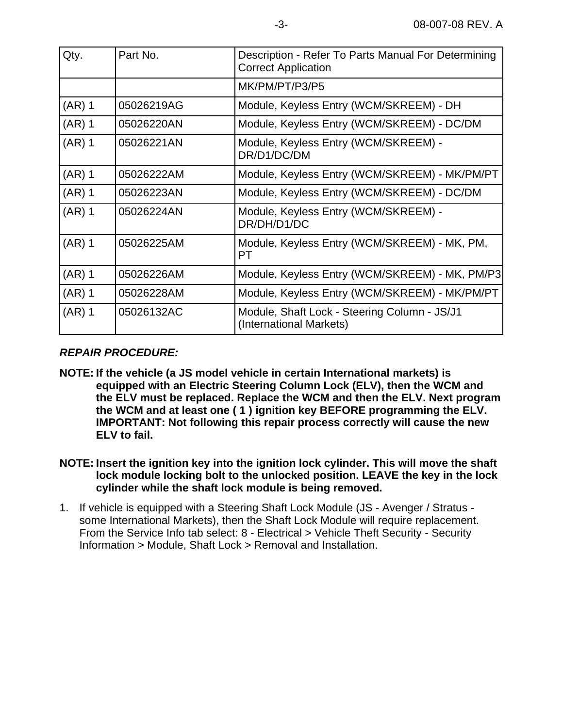| Qty.     | Part No.   | Description - Refer To Parts Manual For Determining<br><b>Correct Application</b> |
|----------|------------|-----------------------------------------------------------------------------------|
|          |            | MK/PM/PT/P3/P5                                                                    |
| $(AR)$ 1 | 05026219AG | Module, Keyless Entry (WCM/SKREEM) - DH                                           |
| $(AR)$ 1 | 05026220AN | Module, Keyless Entry (WCM/SKREEM) - DC/DM                                        |
| $(AR)$ 1 | 05026221AN | Module, Keyless Entry (WCM/SKREEM) -<br>DR/D1/DC/DM                               |
| $(AR)$ 1 | 05026222AM | Module, Keyless Entry (WCM/SKREEM) - MK/PM/PT                                     |
| $(AR)$ 1 | 05026223AN | Module, Keyless Entry (WCM/SKREEM) - DC/DM                                        |
| $(AR)$ 1 | 05026224AN | Module, Keyless Entry (WCM/SKREEM) -<br>DR/DH/D1/DC                               |
| $(AR)$ 1 | 05026225AM | Module, Keyless Entry (WCM/SKREEM) - MK, PM,<br>PT.                               |
| $(AR)$ 1 | 05026226AM | Module, Keyless Entry (WCM/SKREEM) - MK, PM/P3                                    |
| $(AR)$ 1 | 05026228AM | Module, Keyless Entry (WCM/SKREEM) - MK/PM/PT                                     |
| $(AR)$ 1 | 05026132AC | Module, Shaft Lock - Steering Column - JS/J1<br>(International Markets)           |

# **REPAIR PROCEDURE:**

- **NOTE: If the vehicle (a JS model vehicle in certain International markets) is equipped with an Electric Steering Column Lock (ELV), then the WCM and the ELV must be replaced. Replace the WCM and then the ELV. Next program the WCM and at least one ( 1 ) ignition key BEFORE programming the ELV. IMPORTANT: Not following this repair process correctly will cause the new ELV to fail.**
- **NOTE: Insert the ignition key into the ignition lock cylinder. This will move the shaft lock module locking bolt to the unlocked position. LEAVE the key in the lock cylinder while the shaft lock module is being removed.**
- 1. If vehicle is equipped with a Steering Shaft Lock Module (JS Avenger / Stratus some International Markets), then the Shaft Lock Module will require replacement. From the Service Info tab select: 8 - Electrical > Vehicle Theft Security - Security Information > Module, Shaft Lock > Removal and Installation.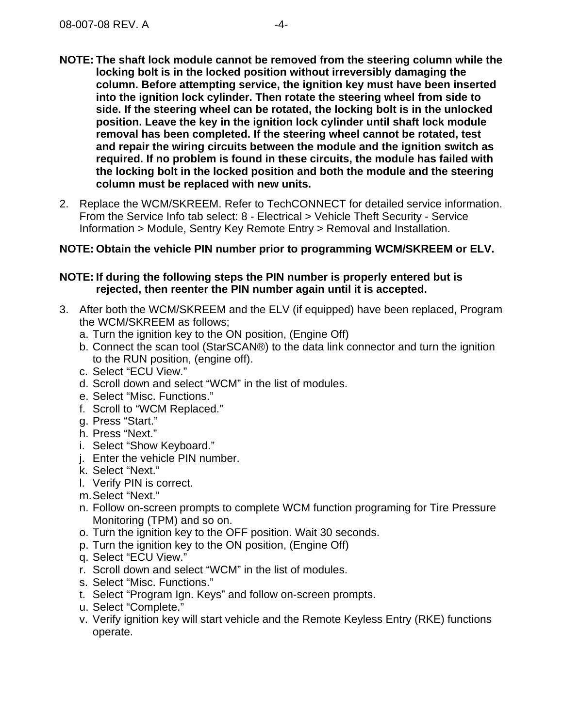- **NOTE: The shaft lock module cannot be removed from the steering column while the locking bolt is in the locked position without irreversibly damaging the column. Before attempting service, the ignition key must have been inserted into the ignition lock cylinder. Then rotate the steering wheel from side to side. If the steering wheel can be rotated, the locking bolt is in the unlocked position. Leave the key in the ignition lock cylinder until shaft lock module removal has been completed. If the steering wheel cannot be rotated, test and repair the wiring circuits between the module and the ignition switch as required. If no problem is found in these circuits, the module has failed with the locking bolt in the locked position and both the module and the steering column must be replaced with new units.**
- 2. Replace the WCM/SKREEM. Refer to TechCONNECT for detailed service information. From the Service Info tab select: 8 - Electrical > Vehicle Theft Security - Service Information > Module, Sentry Key Remote Entry > Removal and Installation.

### **NOTE: Obtain the vehicle PIN number prior to programming WCM/SKREEM or ELV.**

### **NOTE: If during the following steps the PIN number is properly entered but is rejected, then reenter the PIN number again until it is accepted.**

- 3. After both the WCM/SKREEM and the ELV (if equipped) have been replaced, Program the WCM/SKREEM as follows;
	- a. Turn the ignition key to the ON position, (Engine Off)
	- b. Connect the scan tool (StarSCAN®) to the data link connector and turn the ignition to the RUN position, (engine off).
	- c. Select "ECU View."
	- d. Scroll down and select "WCM" in the list of modules.
	- e. Select "Misc. Functions."
	- f. Scroll to "WCM Replaced."
	- g. Press "Start."
	- h. Press "Next."
	- i. Select "Show Keyboard."
	- j. Enter the vehicle PIN number.
	- k. Select "Next."
	- l. Verify PIN is correct.
	- m.Select "Next."
	- n. Follow on-screen prompts to complete WCM function programing for Tire Pressure Monitoring (TPM) and so on.
	- o. Turn the ignition key to the OFF position. Wait 30 seconds.
	- p. Turn the ignition key to the ON position, (Engine Off)
	- q. Select "ECU View."
	- r. Scroll down and select "WCM" in the list of modules.
	- s. Select "Misc. Functions."
	- t. Select "Program Ign. Keys" and follow on-screen prompts.
	- u. Select "Complete."
	- v. Verify ignition key will start vehicle and the Remote Keyless Entry (RKE) functions operate.